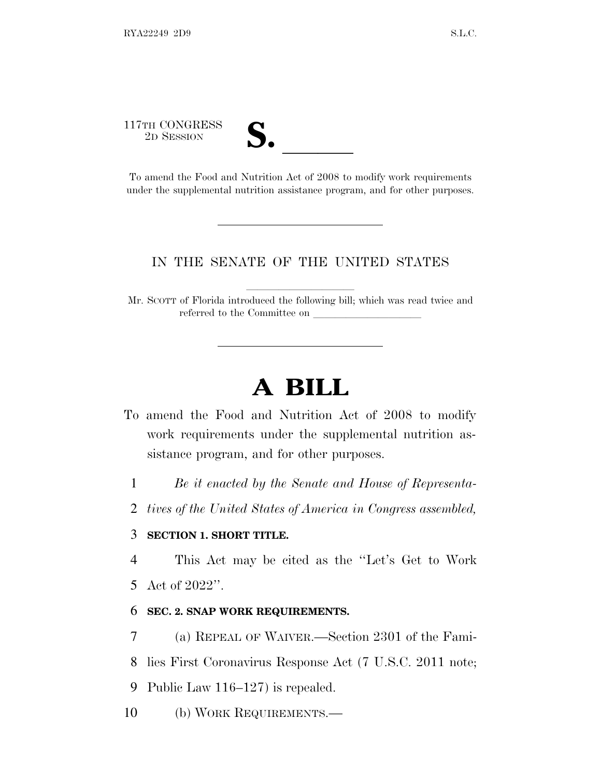117TH CONGRESS

17TH CONGRESS<br>
2D SESSION<br>
To amend the Food and Nutrition Act of 2008 to modify work requirements under the supplemental nutrition assistance program, and for other purposes.

## IN THE SENATE OF THE UNITED STATES

Mr. SCOTT of Florida introduced the following bill; which was read twice and referred to the Committee on

## **A BILL**

- To amend the Food and Nutrition Act of 2008 to modify work requirements under the supplemental nutrition assistance program, and for other purposes.
	- 1 *Be it enacted by the Senate and House of Representa-*
	- 2 *tives of the United States of America in Congress assembled,*

## 3 **SECTION 1. SHORT TITLE.**

4 This Act may be cited as the ''Let's Get to Work

5 Act of 2022''.

## 6 **SEC. 2. SNAP WORK REQUIREMENTS.**

7 (a) REPEAL OF WAIVER.—Section 2301 of the Fami-

8 lies First Coronavirus Response Act (7 U.S.C. 2011 note;

9 Public Law 116–127) is repealed.

10 (b) WORK REQUIREMENTS.—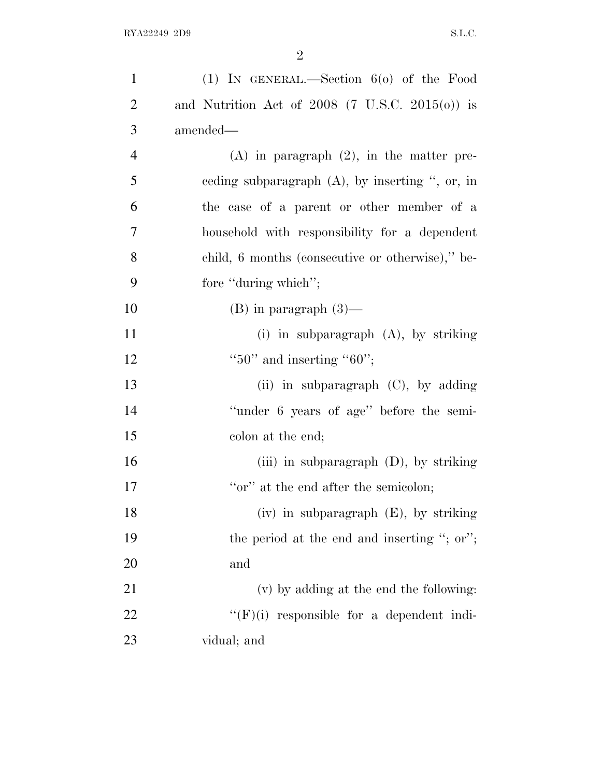| $\mathbf{1}$   | (1) IN GENERAL.—Section $6(0)$ of the Food         |
|----------------|----------------------------------------------------|
| $\overline{2}$ | and Nutrition Act of 2008 (7 U.S.C. 2015(o)) is    |
| 3              | amended—                                           |
| $\overline{4}$ | $(A)$ in paragraph $(2)$ , in the matter pre-      |
| 5              | ceding subparagraph $(A)$ , by inserting ", or, in |
| 6              | the case of a parent or other member of a          |
| 7              | household with responsibility for a dependent      |
| 8              | child, 6 months (consecutive or otherwise)," be-   |
| 9              | fore "during which";                               |
| 10             | $(B)$ in paragraph $(3)$ —                         |
| 11             | $(i)$ in subparagraph $(A)$ , by striking          |
| 12             | " $50$ " and inserting " $60$ ";                   |
| 13             | (ii) in subparagraph (C), by adding                |
| 14             | "under 6 years of age" before the semi-            |
| 15             | colon at the end;                                  |
| 16             | (iii) in subparagraph $(D)$ , by striking          |
| 17             | "or" at the end after the semicolon;               |
| 18             | $(iv)$ in subparagraph $(E)$ , by striking         |
| 19             | the period at the end and inserting "; or";        |
| 20             | and                                                |
| 21             | (v) by adding at the end the following:            |
| 22             | $``(F)(i)$ responsible for a dependent indi-       |
| 23             | vidual; and                                        |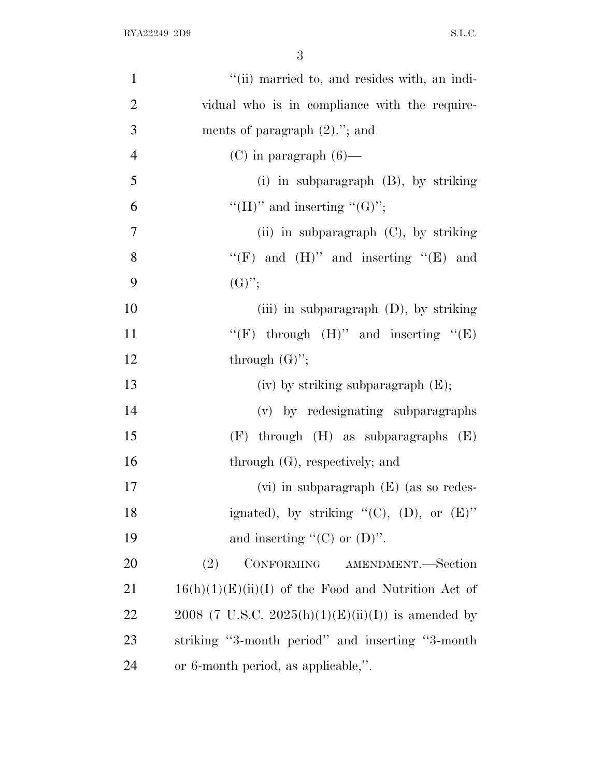| $\mathbf{1}$             | "(ii) married to, and resides with, an indi-          |
|--------------------------|-------------------------------------------------------|
| $\overline{2}$           | vidual who is in compliance with the require-         |
| 3                        | ments of paragraph $(2)$ ."; and                      |
| $\overline{\mathcal{A}}$ | $(C)$ in paragraph $(6)$ —                            |
| 5                        | (i) in subparagraph $(B)$ , by striking               |
| 6                        | "(H)" and inserting "(G)";                            |
| $\tau$                   | (ii) in subparagraph $(C)$ , by striking              |
| 8                        | "(F) and $(H)$ " and inserting "(E) and               |
| 9                        | $(G)$ ";                                              |
| 10                       | (iii) in subparagraph $(D)$ , by striking             |
| 11                       | "(F) through $(H)$ " and inserting "(E)               |
| 12                       | through $(G)$ ";                                      |
|                          |                                                       |
| 13                       | $(iv)$ by striking subparagraph $(E);$                |
| 14                       | (v) by redesignating subparagraphs                    |
| 15                       | $(F)$ through $(H)$ as subparagraphs $(E)$            |
| 16                       | through $(G)$ , respectively; and                     |
| 17                       | $(vi)$ in subparagraph $(E)$ (as so redes-            |
| 18                       | ignated), by striking " $(C)$ , $(D)$ , or $(E)$ "    |
| 19                       | and inserting " $(C)$ or $(D)$ ".                     |
| 20                       | CONFORMING AMENDMENT.-Section<br>(2)                  |
| 21                       | $16(h)(1)(E)(ii)(I)$ of the Food and Nutrition Act of |
| 22                       | 2008 (7 U.S.C. 2025(h)(1)(E)(ii)(I)) is amended by    |
| 23                       | striking "3-month period" and inserting "3-month"     |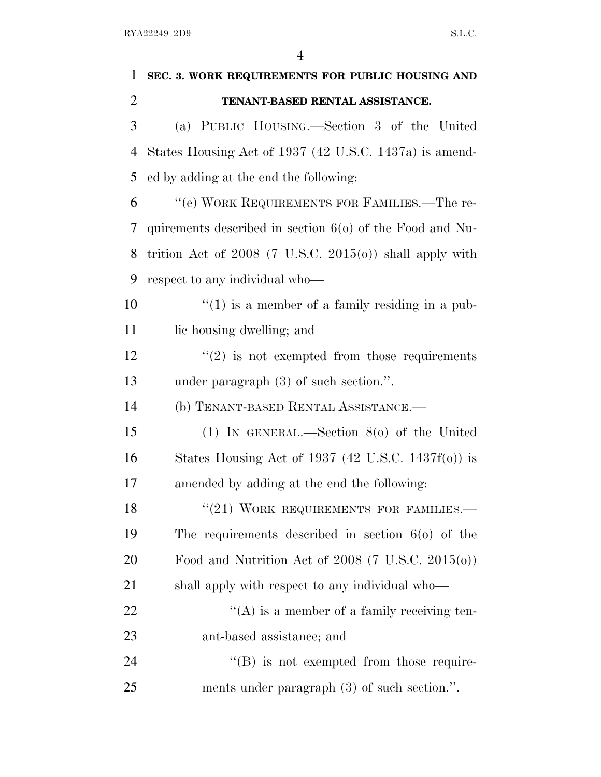| 1              | SEC. 3. WORK REQUIREMENTS FOR PUBLIC HOUSING AND             |
|----------------|--------------------------------------------------------------|
| $\overline{2}$ | TENANT-BASED RENTAL ASSISTANCE.                              |
| 3              | (a) PUBLIC HOUSING.—Section 3 of the United                  |
| $\overline{4}$ | States Housing Act of 1937 (42 U.S.C. 1437a) is amend-       |
| 5              | ed by adding at the end the following:                       |
| 6              | "(e) WORK REQUIREMENTS FOR FAMILIES.—The re-                 |
| 7              | quirements described in section $60$ of the Food and Nu-     |
| 8              | trition Act of $2008$ (7 U.S.C. $2015(0)$ ) shall apply with |
| 9              | respect to any individual who—                               |
| 10             | $\lq(1)$ is a member of a family residing in a pub-          |
| 11             | lic housing dwelling; and                                    |
| 12             | $\cdot\cdot\cdot(2)$ is not exempted from those requirements |
| 13             | under paragraph $(3)$ of such section.".                     |
| 14             | (b) TENANT-BASED RENTAL ASSISTANCE.-                         |
| 15             | (1) IN GENERAL.—Section $8(0)$ of the United                 |
| 16             | States Housing Act of 1937 (42 U.S.C. 1437f(o)) is           |
| 17             | amended by adding at the end the following:                  |
| 18             | $``(21)$ WORK REQUIREMENTS FOR FAMILIES.                     |
| 19             | The requirements described in section $60$ of the            |
| 20             | Food and Nutrition Act of $2008$ (7 U.S.C. $2015(0)$ )       |
| 21             | shall apply with respect to any individual who—              |
| 22             | $\lq\lq$ is a member of a family receiving ten-              |
| 23             | ant-based assistance; and                                    |
| 24             | $\lq\lq (B)$ is not exempted from those require-             |
| 25             | ments under paragraph (3) of such section.".                 |